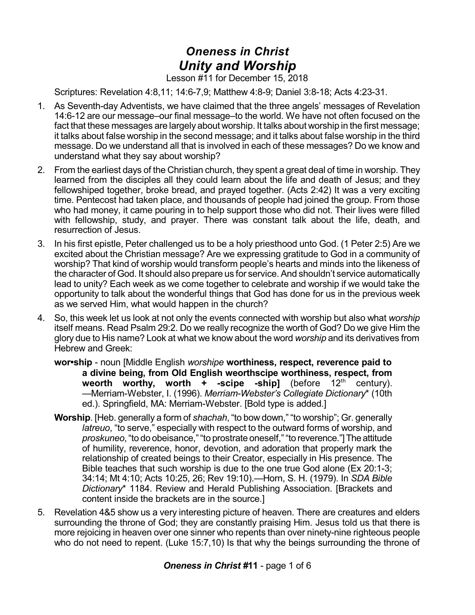## *Oneness in Christ Unity and Worship*

Lesson #11 for December 15, 2018

Scriptures: Revelation 4:8,11; 14:6-7,9; Matthew 4:8-9; Daniel 3:8-18; Acts 4:23-31.

- 1. As Seventh-day Adventists, we have claimed that the three angels' messages of Revelation 14:6-12 are our message–our final message–to the world. We have not often focused on the fact that these messages are largely about worship. It talks about worship in the first message; it talks about false worship in the second message; and it talks about false worship in the third message. Do we understand all that is involved in each of these messages? Do we know and understand what they say about worship?
- 2. From the earliest days of the Christian church, they spent a great deal of time in worship. They learned from the disciples all they could learn about the life and death of Jesus; and they fellowshiped together, broke bread, and prayed together. (Acts 2:42) It was a very exciting time. Pentecost had taken place, and thousands of people had joined the group. From those who had money, it came pouring in to help support those who did not. Their lives were filled with fellowship, study, and prayer. There was constant talk about the life, death, and resurrection of Jesus.
- 3. In his first epistle, Peter challenged us to be a holy priesthood unto God. (1 Peter 2:5) Are we excited about the Christian message? Are we expressing gratitude to God in a community of worship? That kind of worship would transform people's hearts and minds into the likeness of the character of God. It should also prepare us for service. And shouldn't service automatically lead to unity? Each week as we come together to celebrate and worship if we would take the opportunity to talk about the wonderful things that God has done for us in the previous week as we served Him, what would happen in the church?
- 4. So, this week let us look at not only the events connected with worship but also what *worship* itself means. Read Psalm 29:2. Do we really recognize the worth of God? Do we give Him the glory due to His name? Look at what we know about the word *worship* and its derivatives from Hebrew and Greek:
	- **wor•ship** noun [Middle English *worshipe* **worthiness, respect, reverence paid to a divine being, from Old English weorthscipe worthiness, respect, from weorth worthy, worth + -scipe -ship]** (before 12<sup>th</sup> century). —Merriam-Webster, I. (1996). *Merriam-Webster's Collegiate Dictionary*\* (10th ed.). Springfield, MA: Merriam-Webster. [Bold type is added.]
	- **Worship**. [Heb. generally a form of *shachah*, "to bow down," "to worship"; Gr. generally *latreuo*, "to serve," especially with respect to the outward forms of worship, and proskuneo, "to do obeisance," "to prostrate oneself," "to reverence."] The attitude of humility, reverence, honor, devotion, and adoration that properly mark the relationship of created beings to their Creator, especially in His presence. The Bible teaches that such worship is due to the one true God alone (Ex 20:1-3; 34:14; Mt 4:10; Acts 10:25, 26; Rev 19:10).—Horn, S. H. (1979). In *SDA Bible Dictionary*\* 1184. Review and Herald Publishing Association. [Brackets and content inside the brackets are in the source.]
- 5. Revelation 4&5 show us a very interesting picture of heaven. There are creatures and elders surrounding the throne of God; they are constantly praising Him. Jesus told us that there is more rejoicing in heaven over one sinner who repents than over ninety-nine righteous people who do not need to repent. (Luke 15:7,10) Is that why the beings surrounding the throne of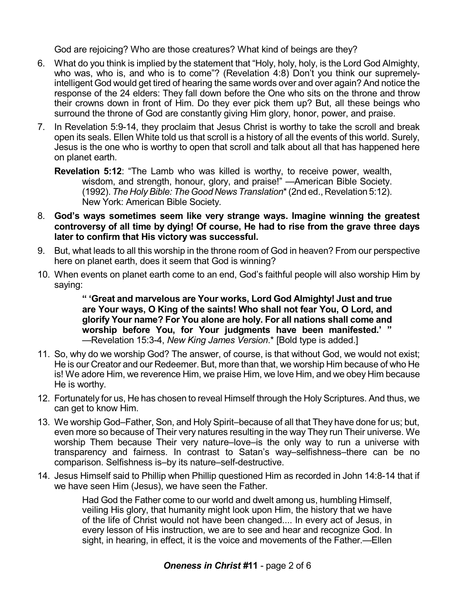God are rejoicing? Who are those creatures? What kind of beings are they?

- 6. What do you think is implied by the statement that "Holy, holy, holy, is the Lord God Almighty, who was, who is, and who is to come"? (Revelation 4:8) Don't you think our supremelyintelligent God would get tired of hearing the same words over and over again? And notice the response of the 24 elders: They fall down before the One who sits on the throne and throw their crowns down in front of Him. Do they ever pick them up? But, all these beings who surround the throne of God are constantly giving Him glory, honor, power, and praise.
- 7. In Revelation 5:9-14, they proclaim that Jesus Christ is worthy to take the scroll and break open its seals. Ellen White told us that scroll is a history of all the events of this world. Surely, Jesus is the one who is worthy to open that scroll and talk about all that has happened here on planet earth.

**Revelation 5:12**: "The Lamb who was killed is worthy, to receive power, wealth, wisdom, and strength, honour, glory, and praise!" —American Bible Society. (1992). *The Holy Bible: TheGood News Translation*\*(2nd ed., Revelation 5:12). New York: American Bible Society*.*

- 8. **God's ways sometimes seem like very strange ways. Imagine winning the greatest controversy of all time by dying! Of course, He had to rise from the grave three days later to confirm that His victory was successful.**
- 9. But, what leads to all this worship in the throne room of God in heaven? From our perspective here on planet earth, does it seem that God is winning?
- 10. When events on planet earth come to an end, God's faithful people will also worship Him by saying:

**" 'Great and marvelous are Your works, Lord God Almighty! Just and true are Your ways, O King of the saints! Who shall not fear You, O Lord, and glorify Your name? For You alone are holy. For all nations shall come and worship before You, for Your judgments have been manifested.' "** —Revelation 15:3-4, *New King James Version*.\* [Bold type is added.]

- 11. So, why do we worship God? The answer, of course, is that without God, we would not exist; He is our Creator and our Redeemer. But, more than that, we worship Him because of who He is! We adore Him, we reverence Him, we praise Him, we love Him, and we obey Him because He is worthy.
- 12. Fortunately for us, He has chosen to reveal Himself through the Holy Scriptures. And thus, we can get to know Him.
- 13. We worship God–Father, Son, and Holy Spirit–because of all that They have done for us; but, even more so because of Their very natures resulting in the way They run Their universe. We worship Them because Their very nature–love–is the only way to run a universe with transparency and fairness. In contrast to Satan's way–selfishness–there can be no comparison. Selfishness is–by its nature–self-destructive.
- 14. Jesus Himself said to Phillip when Phillip questioned Him as recorded in John 14:8-14 that if we have seen Him (Jesus), we have seen the Father.

Had God the Father come to our world and dwelt among us, humbling Himself, veiling His glory, that humanity might look upon Him, the history that we have of the life of Christ would not have been changed.... In every act of Jesus, in every lesson of His instruction, we are to see and hear and recognize God. In sight, in hearing, in effect, it is the voice and movements of the Father.—Ellen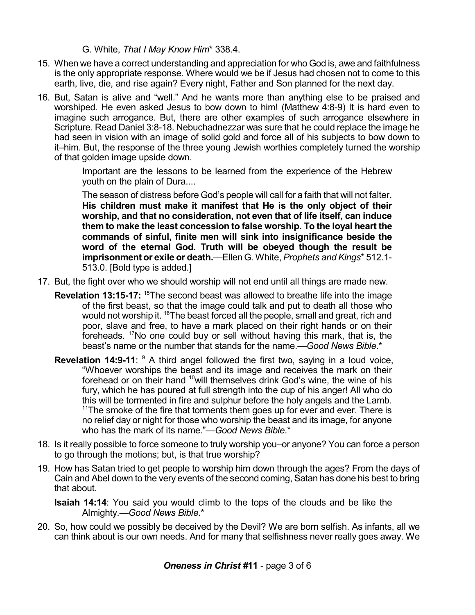G. White, *That I May Know Him*\* 338.4.

- 15. When we have a correct understanding and appreciation for who God is, awe and faithfulness is the only appropriate response. Where would we be if Jesus had chosen not to come to this earth, live, die, and rise again? Every night, Father and Son planned for the next day.
- 16. But, Satan is alive and "well." And he wants more than anything else to be praised and worshiped. He even asked Jesus to bow down to him! (Matthew 4:8-9) It is hard even to imagine such arrogance. But, there are other examples of such arrogance elsewhere in Scripture. Read Daniel 3:8-18. Nebuchadnezzar was sure that he could replace the image he had seen in vision with an image of solid gold and force all of his subjects to bow down to it–him. But, the response of the three young Jewish worthies completely turned the worship of that golden image upside down.

Important are the lessons to be learned from the experience of the Hebrew youth on the plain of Dura....

The season of distress before God's people will call for a faith that will not falter. **His children must make it manifest that He is the only object of their worship, and that no consideration, not even that of life itself, can induce them to make the least concession to false worship. To the loyal heart the commands of sinful, finite men will sink into insignificance beside the word of the eternal God. Truth will be obeyed though the result be imprisonment or exile or death.**—Ellen G. White, *Prophets and Kings*\* 512.1- 513.0. [Bold type is added.]

- 17. But, the fight over who we should worship will not end until all things are made new.
	- **Revelation 13:15-17:** <sup>15</sup>The second beast was allowed to breathe life into the image of the first beast, so that the image could talk and put to death all those who would not worship it. <sup>16</sup>The beast forced all the people, small and great, rich and poor, slave and free, to have a mark placed on their right hands or on their foreheads. <sup>17</sup>No one could buy or sell without having this mark, that is, the beast's name or the number that stands for the name.—*Good News Bible*.\*
	- **Revelation 14:9-11**: <sup>9</sup> A third angel followed the first two, saying in a loud voice, "Whoever worships the beast and its image and receives the mark on their forehead or on their hand <sup>10</sup>will themselves drink God's wine, the wine of his fury, which he has poured at full strength into the cup of his anger! All who do this will be tormented in fire and sulphur before the holy angels and the Lamb.  $11$ The smoke of the fire that torments them goes up for ever and ever. There is no relief day or night for those who worship the beast and its image, for anyone who has the mark of its name."—*Good News Bible*.\*
- 18. Is it really possible to force someone to truly worship you–or anyone? You can force a person to go through the motions; but, is that true worship?
- 19. How has Satan tried to get people to worship him down through the ages? From the days of Cain and Abel down to the very events of the second coming, Satan has done his best to bring that about.
	- **Isaiah 14:14**: You said you would climb to the tops of the clouds and be like the Almighty.—*Good News Bible*.\*
- 20. So, how could we possibly be deceived by the Devil? We are born selfish. As infants, all we can think about is our own needs. And for many that selfishness never really goes away. We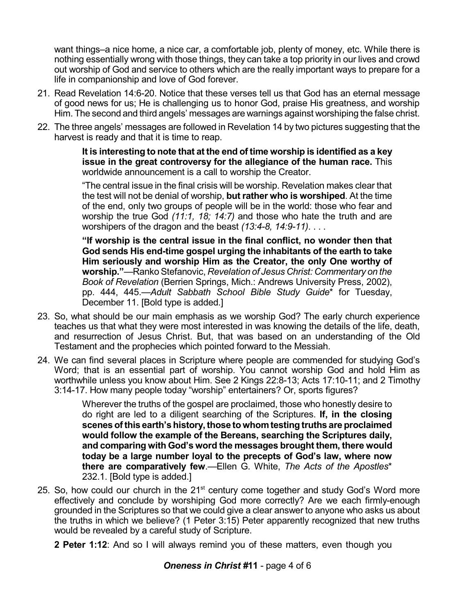want things–a nice home, a nice car, a comfortable job, plenty of money, etc. While there is nothing essentially wrong with those things, they can take a top priority in our lives and crowd out worship of God and service to others which are the really important ways to prepare for a life in companionship and love of God forever.

- 21. Read Revelation 14:6-20. Notice that these verses tell us that God has an eternal message of good news for us; He is challenging us to honor God, praise His greatness, and worship Him. The second and third angels' messages are warnings against worshiping the false christ.
- 22. The three angels' messages are followed in Revelation 14 by two pictures suggesting that the harvest is ready and that it is time to reap.

**It is interesting to note that at the end of time worship is identified as a key issue in the great controversy for the allegiance of the human race.** This worldwide announcement is a call to worship the Creator.

"The central issue in the final crisis will be worship. Revelation makes clear that the test will not be denial of worship, **but rather who is worshiped**. At the time of the end, only two groups of people will be in the world: those who fear and worship the true God *(11:1, 18; 14:7)* and those who hate the truth and are worshipers of the dragon and the beast *(13:4-8, 14:9-11)*. . . .

**"If worship is the central issue in the final conflict, no wonder then that God sends His end-time gospel urging the inhabitants of the earth to take Him seriously and worship Him as the Creator, the only One worthy of worship."**—Ranko Stefanovic, *Revelation of Jesus Christ: Commentary on the Book of Revelation* (Berrien Springs, Mich.: Andrews University Press, 2002), pp. 444, 445.—*Adult Sabbath School Bible Study Guide*\* for Tuesday, December 11. [Bold type is added.]

- 23. So, what should be our main emphasis as we worship God? The early church experience teaches us that what they were most interested in was knowing the details of the life, death, and resurrection of Jesus Christ. But, that was based on an understanding of the Old Testament and the prophecies which pointed forward to the Messiah.
- 24. We can find several places in Scripture where people are commended for studying God's Word; that is an essential part of worship. You cannot worship God and hold Him as worthwhile unless you know about Him. See 2 Kings 22:8-13; Acts 17:10-11; and 2 Timothy 3:14-17. How many people today "worship" entertainers? Or, sports figures?

Wherever the truths of the gospel are proclaimed, those who honestly desire to do right are led to a diligent searching of the Scriptures. **If, in the closing scenes ofthis earth's history,those to whomtesting truths are proclaimed would follow the example of the Bereans, searching the Scriptures daily, and comparing with God's word the messages brought them, there would today be a large number loyal to the precepts of God's law, where now there are comparatively few**.—Ellen G. White, *The Acts of the Apostles*\* 232.1. [Bold type is added.]

- 25. So, how could our church in the 21<sup>st</sup> century come together and study God's Word more effectively and conclude by worshiping God more correctly? Are we each firmly-enough grounded in the Scriptures so that we could give a clear answer to anyone who asks us about the truths in which we believe? (1 Peter 3:15) Peter apparently recognized that new truths would be revealed by a careful study of Scripture.
	- **2 Peter 1:12**: And so I will always remind you of these matters, even though you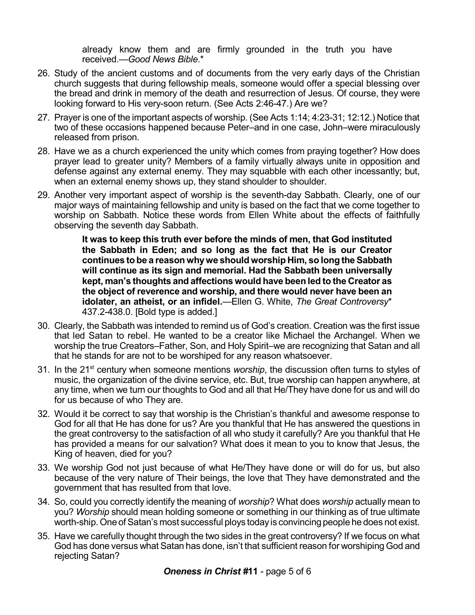already know them and are firmly grounded in the truth you have received.—*Good News Bible*.\*

- 26. Study of the ancient customs and of documents from the very early days of the Christian church suggests that during fellowship meals, someone would offer a special blessing over the bread and drink in memory of the death and resurrection of Jesus. Of course, they were looking forward to His very-soon return. (See Acts 2:46-47.) Are we?
- 27. Prayer is one of the important aspects of worship. (See Acts 1:14; 4:23-31; 12:12.) Notice that two of these occasions happened because Peter–and in one case, John–were miraculously released from prison.
- 28. Have we as a church experienced the unity which comes from praying together? How does prayer lead to greater unity? Members of a family virtually always unite in opposition and defense against any external enemy. They may squabble with each other incessantly; but, when an external enemy shows up, they stand shoulder to shoulder.
- 29. Another very important aspect of worship is the seventh-day Sabbath. Clearly, one of our major ways of maintaining fellowship and unity is based on the fact that we come together to worship on Sabbath. Notice these words from Ellen White about the effects of faithfully observing the seventh day Sabbath.

**It was to keep this truth ever before the minds of men, that God instituted the Sabbath in Eden; and so long as the fact that He is our Creator continues to be a reason whywe should worship Him, so long theSabbath will continue as its sign and memorial. Had the Sabbath been universally kept, man's thoughts and affections would have been led to the Creator as the object of reverence and worship, and there would never have been an idolater, an atheist, or an infidel.**—Ellen G. White, *The Great Controversy*\* 437.2-438.0. [Bold type is added.]

- 30. Clearly, the Sabbath was intended to remind us of God's creation. Creation was the first issue that led Satan to rebel. He wanted to be a creator like Michael the Archangel. When we worship the true Creators–Father, Son, and Holy Spirit–we are recognizing that Satan and all that he stands for are not to be worshiped for any reason whatsoever.
- 31. In the 21<sup>st</sup> century when someone mentions *worship*, the discussion often turns to styles of music, the organization of the divine service, etc. But, true worship can happen anywhere, at any time, when we turn our thoughts to God and all that He/They have done for us and will do for us because of who They are.
- 32. Would it be correct to say that worship is the Christian's thankful and awesome response to God for all that He has done for us? Are you thankful that He has answered the questions in the great controversy to the satisfaction of all who study it carefully? Are you thankful that He has provided a means for our salvation? What does it mean to you to know that Jesus, the King of heaven, died for you?
- 33. We worship God not just because of what He/They have done or will do for us, but also because of the very nature of Their beings, the love that They have demonstrated and the government that has resulted from that love.
- 34. So, could you correctly identify the meaning of *worship*? What does *worship* actually mean to you? *Worship* should mean holding someone or something in our thinking as of true ultimate worth-ship. One of Satan's most successful ploys today is convincing people he does not exist.
- 35. Have we carefully thought through the two sides in the great controversy? If we focus on what God has done versus what Satan has done, isn't that sufficient reason for worshiping God and rejecting Satan?